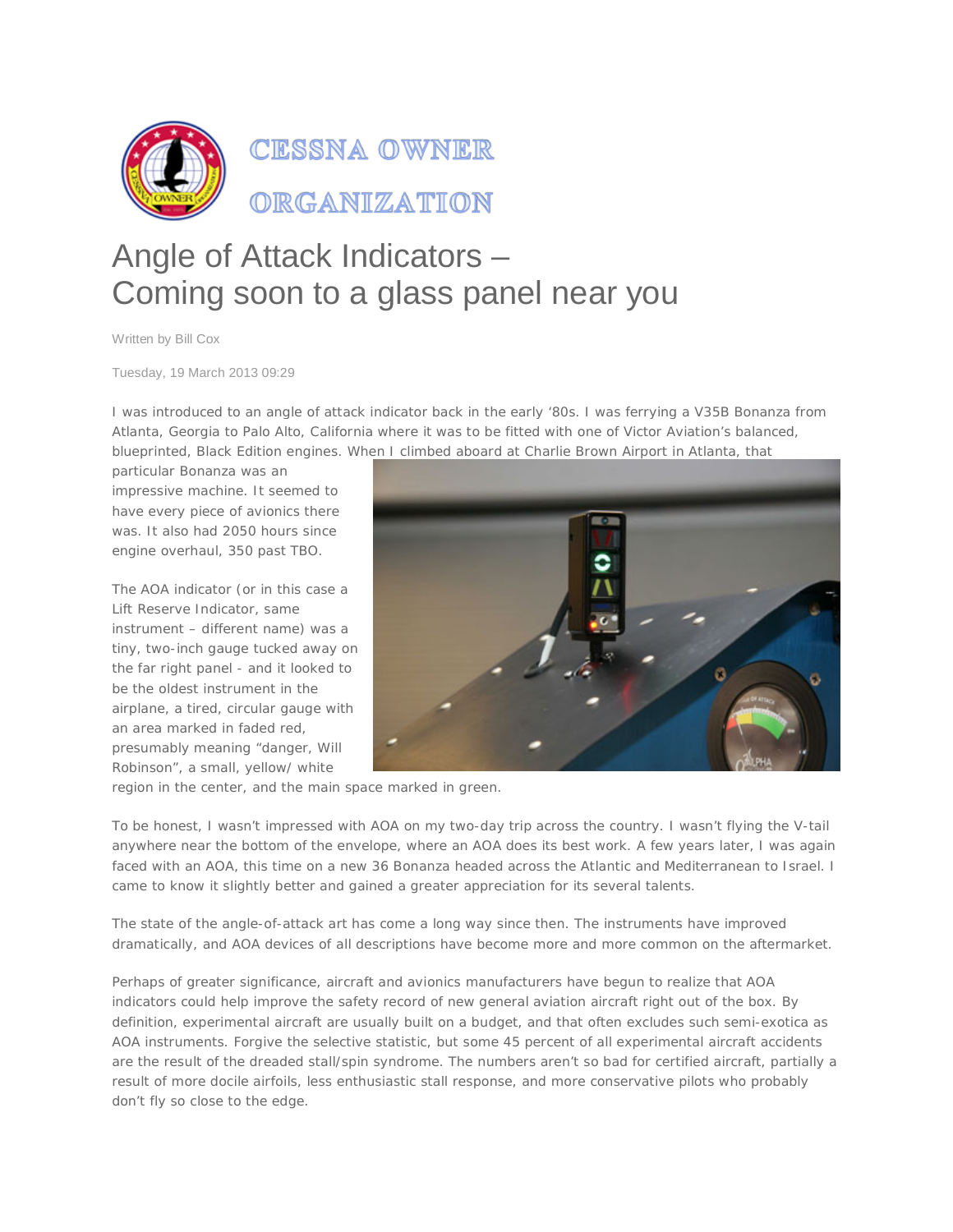

## Angle of Attack Indicators – Coming soon to a glass panel near you

Written by Bill Cox

Tuesday, 19 March 2013 09:29

I was introduced to an angle of attack indicator back in the early '80s. I was ferrying a V35B Bonanza from Atlanta, Georgia to Palo Alto, California where it was to be fitted with one of Victor Aviation's balanced, blueprinted, Black Edition engines. When I climbed aboard at Charlie Brown Airport in Atlanta, that

particular Bonanza was an impressive machine. It seemed to have every piece of avionics there was. It also had 2050 hours since engine overhaul, 350 past TBO.

The AOA indicator (or in this case a Lift Reserve Indicator, same instrument – different name) was a tiny, two-inch gauge tucked away on the far right panel - and it looked to be the oldest instrument in the airplane, a tired, circular gauge with an area marked in faded red, presumably meaning "danger, Will Robinson", a small, yellow/ white



region in the center, and the main space marked in green.

To be honest, I wasn't impressed with AOA on my two-day trip across the country. I wasn't flying the V-tail anywhere near the bottom of the envelope, where an AOA does its best work. A few years later, I was again faced with an AOA, this time on a new 36 Bonanza headed across the Atlantic and Mediterranean to Israel. I came to know it slightly better and gained a greater appreciation for its several talents.

The state of the angle-of-attack art has come a long way since then. The instruments have improved dramatically, and AOA devices of all descriptions have become more and more common on the aftermarket.

Perhaps of greater significance, aircraft and avionics manufacturers have begun to realize that AOA indicators could help improve the safety record of new general aviation aircraft right out of the box. By definition, experimental aircraft are usually built on a budget, and that often excludes such semi-exotica as AOA instruments. Forgive the selective statistic, but some 45 percent of all experimental aircraft accidents are the result of the dreaded stall/spin syndrome. The numbers aren't so bad for certified aircraft, partially a result of more docile airfoils, less enthusiastic stall response, and more conservative pilots who probably don't fly so close to the edge.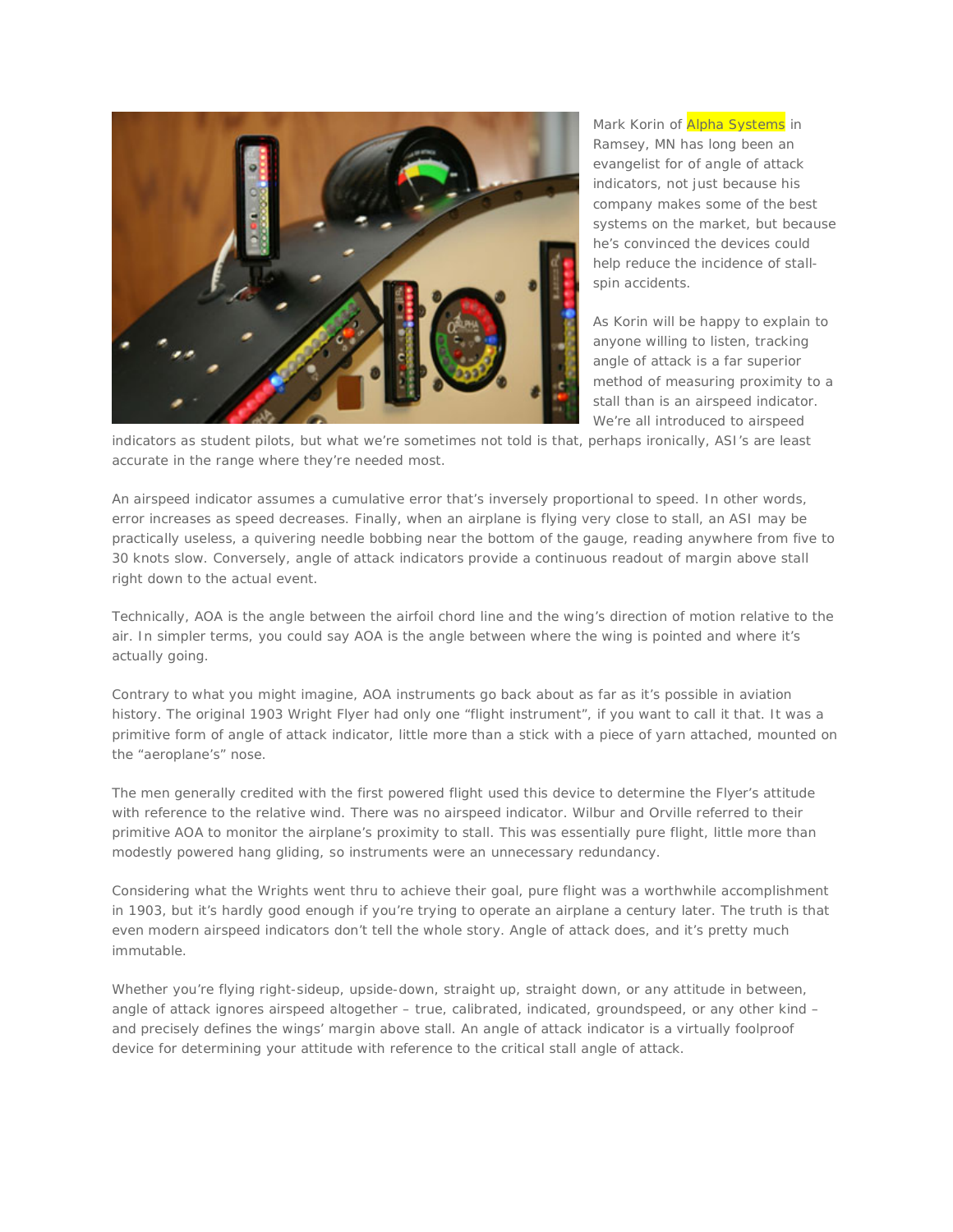

Mark Korin of Alpha Systems in Ramsey, MN has long been an evangelist for of angle of attack indicators, not just because his company makes some of the best systems on the market, but because he's convinced the devices could help reduce the incidence of stallspin accidents.

As Korin will be happy to explain to anyone willing to listen, tracking angle of attack is a far superior method of measuring proximity to a stall than is an airspeed indicator. We're all introduced to airspeed

indicators as student pilots, but what we're sometimes not told is that, perhaps ironically, ASI's are least accurate in the range where they're needed most.

An airspeed indicator assumes a cumulative error that's inversely proportional to speed. In other words, error increases as speed decreases. Finally, when an airplane is flying very close to stall, an ASI may be practically useless, a quivering needle bobbing near the bottom of the gauge, reading anywhere from five to 30 knots slow. Conversely, angle of attack indicators provide a continuous readout of margin above stall right down to the actual event.

Technically, AOA is the angle between the airfoil chord line and the wing's direction of motion relative to the air. In simpler terms, you could say AOA is the angle between where the wing is pointed and where it's actually going.

Contrary to what you might imagine, AOA instruments go back about as far as it's possible in aviation history. The original 1903 Wright Flyer had only one "flight instrument", if you want to call it that. It was a primitive form of angle of attack indicator, little more than a stick with a piece of yarn attached, mounted on the "aeroplane's" nose.

The men generally credited with the first powered flight used this device to determine the Flyer's attitude with reference to the relative wind. There was no airspeed indicator. Wilbur and Orville referred to their primitive AOA to monitor the airplane's proximity to stall. This was essentially pure flight, little more than modestly powered hang gliding, so instruments were an unnecessary redundancy.

Considering what the Wrights went thru to achieve their goal, pure flight was a worthwhile accomplishment in 1903, but it's hardly good enough if you're trying to operate an airplane a century later. The truth is that even modern airspeed indicators don't tell the whole story. Angle of attack does, and it's pretty much immutable.

Whether you're flying right-sideup, upside-down, straight up, straight down, or any attitude in between, angle of attack ignores airspeed altogether – true, calibrated, indicated, groundspeed, or any other kind – and precisely defines the wings' margin above stall. An angle of attack indicator is a virtually foolproof device for determining your attitude with reference to the critical stall angle of attack.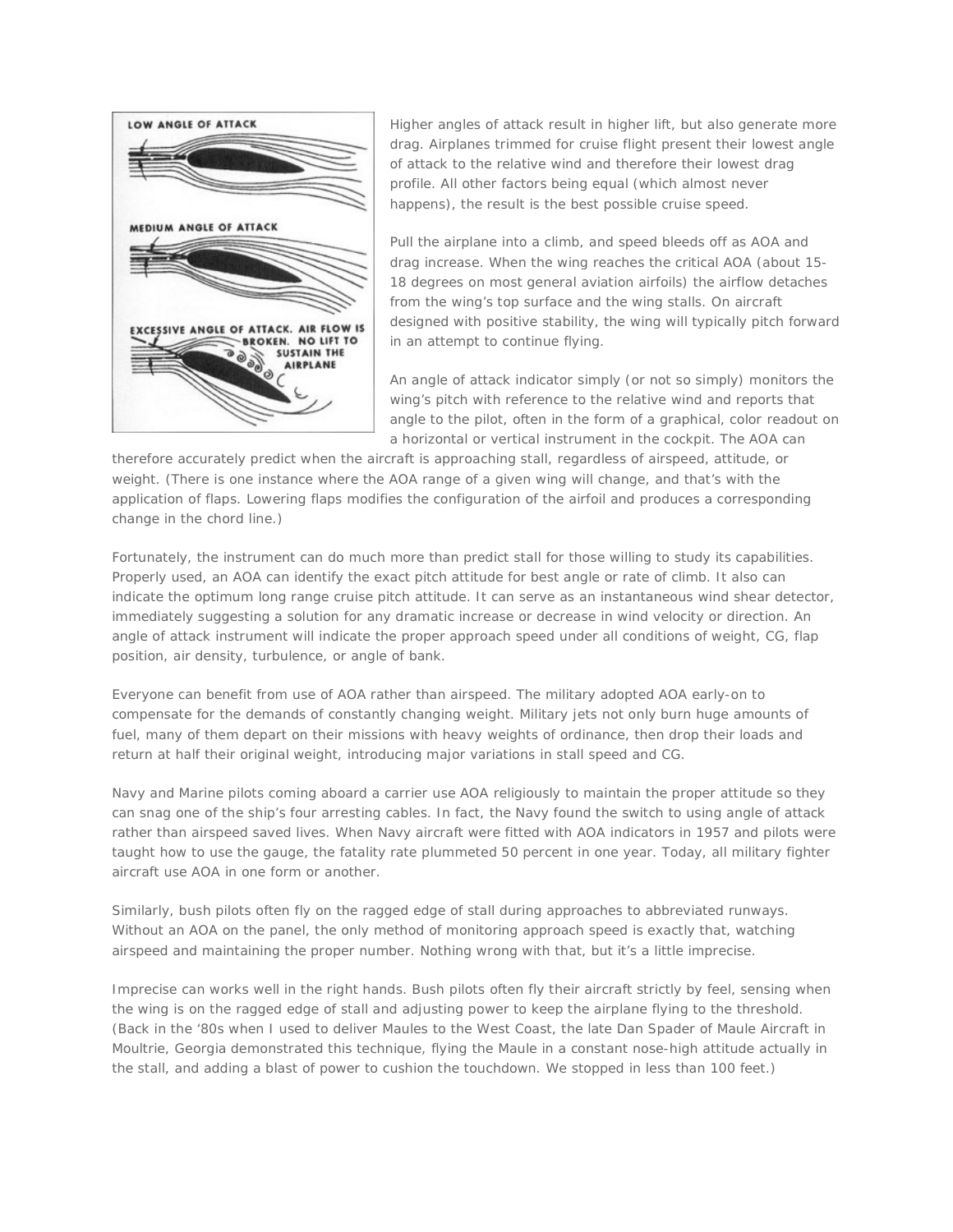

Higher angles of attack result in higher lift, but also generate more drag. Airplanes trimmed for cruise flight present their lowest angle of attack to the relative wind and therefore their lowest drag profile. All other factors being equal (which almost never happens), the result is the best possible cruise speed.

Pull the airplane into a climb, and speed bleeds off as AOA and drag increase. When the wing reaches the critical AOA (about 15- 18 degrees on most general aviation airfoils) the airflow detaches from the wing's top surface and the wing stalls. On aircraft designed with positive stability, the wing will typically pitch forward in an attempt to continue flying.

An angle of attack indicator simply (or not so simply) monitors the wing's pitch with reference to the relative wind and reports that angle to the pilot, often in the form of a graphical, color readout on a horizontal or vertical instrument in the cockpit. The AOA can

therefore accurately predict when the aircraft is approaching stall, regardless of airspeed, attitude, or weight. (There is one instance where the AOA range of a given wing will change, and that's with the application of flaps. Lowering flaps modifies the configuration of the airfoil and produces a corresponding change in the chord line.)

Fortunately, the instrument can do much more than predict stall for those willing to study its capabilities. Properly used, an AOA can identify the exact pitch attitude for best angle or rate of climb. It also can indicate the optimum long range cruise pitch attitude. It can serve as an instantaneous wind shear detector, immediately suggesting a solution for any dramatic increase or decrease in wind velocity or direction. An angle of attack instrument will indicate the proper approach speed under all conditions of weight, CG, flap position, air density, turbulence, or angle of bank.

Everyone can benefit from use of AOA rather than airspeed. The military adopted AOA early-on to compensate for the demands of constantly changing weight. Military jets not only burn huge amounts of fuel, many of them depart on their missions with heavy weights of ordinance, then drop their loads and return at half their original weight, introducing major variations in stall speed and CG.

Navy and Marine pilots coming aboard a carrier use AOA religiously to maintain the proper attitude so they can snag one of the ship's four arresting cables. In fact, the Navy found the switch to using angle of attack rather than airspeed saved lives. When Navy aircraft were fitted with AOA indicators in 1957 and pilots were taught how to use the gauge, the fatality rate plummeted 50 percent in one year. Today, all military fighter aircraft use AOA in one form or another.

Similarly, bush pilots often fly on the ragged edge of stall during approaches to abbreviated runways. Without an AOA on the panel, the only method of monitoring approach speed is exactly that, watching airspeed and maintaining the proper number. Nothing wrong with that, but it's a little imprecise.

Imprecise can works well in the right hands. Bush pilots often fly their aircraft strictly by feel, sensing when the wing is on the ragged edge of stall and adjusting power to keep the airplane flying to the threshold. (Back in the '80s when I used to deliver Maules to the West Coast, the late Dan Spader of Maule Aircraft in Moultrie, Georgia demonstrated this technique, flying the Maule in a constant nose-high attitude actually in the stall, and adding a blast of power to cushion the touchdown. We stopped in less than 100 feet.)